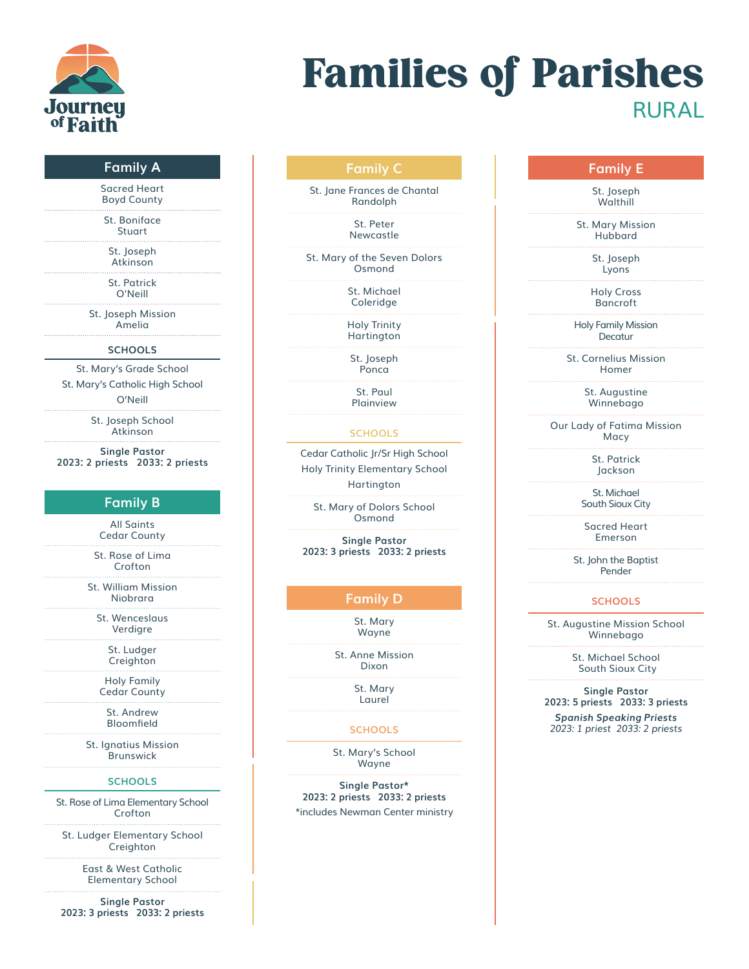

# Families of Parishes **RURAL**

### **Family A**

Sacred Heart Boyd County

St. Boniface Stuart

St. Joseph Atkinson

St. Patrick O'Neill

St. Joseph Mission Amelia

#### **SCHOOLS**

St. Mary's Grade School

St. Mary's Catholic High School

O'Neill

St. Joseph School Atkinson

**Single Pastor 2023: 2 priests 2033: 2 priests**

## **Family B**

All Saints Cedar County

St. Rose of Lima Crofton

St. William Mission Niobrara

St. Wenceslaus Verdigre

> St. Ludger Creighton

Holy Family Cedar County

> St. Andrew Bloomfield

St. Ignatius Mission Brunswick

#### **SCHOOLS**

St. Rose of Lima Elementary School Crofton

St. Ludger Elementary School Creighton

> East & West Catholic Elementary School

**Single Pastor 2023: 3 priests 2033: 2 priests**

# **Family C**

St. Jane Frances de Chantal Randolph

> St. Peter Newcastle

St. Mary of the Seven Dolors Osmond

> St. Michael Coleridge

Holy Trinity Hartington

St. Joseph Ponca

St. Paul Plainview

#### **SCHOOLS**

Cedar Catholic Jr/Sr High School Holy Trinity Elementary School Hartington

St. Mary of Dolors School Osmond

**Single Pastor 2023: 3 priests 2033: 2 priests**

# **Family D**

St. Mary Wayne

St. Anne Mission Dixon

> St. Mary Laurel

#### **SCHOOLS**

St. Mary's School Wayne

**Single Pastor\* 2023: 2 priests 2033: 2 priests** \*includes Newman Center ministry

## **Family E**

St. Joseph **Walthill** 

St. Mary Mission Hubbard

> St. Joseph Lyons

Holy Cross Bancroft

Holy Family Mission **Decatur** 

St. Cornelius Mission Homer

> St. Augustine Winnebago

Our Lady of Fatima Mission Macy

> St. Patrick Jackson

St. Michael South Sioux City

Sacred Heart Emerson

St. John the Baptist Pender

#### **SCHOOLS**

St. Augustine Mission School Winnebago

> St. Michael School South Sioux City

**Single Pastor 2023: 5 priests 2033: 3 priests**

*Spanish Speaking Priests 2023: 1 priest 2033: 2 priests*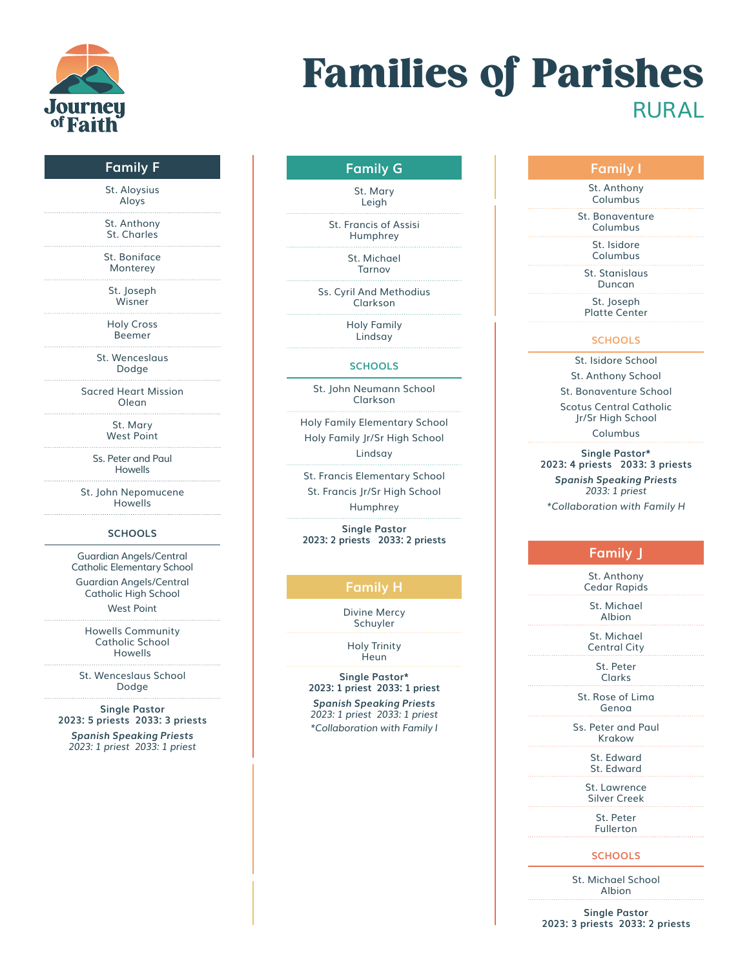

# Families of Parishes **RURAL**

## **Family F**

St. Aloysius Aloys

St. Anthony St. Charles

St. Boniface Monterey

St. Joseph Wisner

Holy Cross Beemer

St. Wenceslaus Dodge

Sacred Heart Mission Olean

> St. Mary West Point

Ss. Peter and Paul Howells

St. John Nepomucene Howells

#### **SCHOOLS**

Guardian Angels/Central Catholic Elementary School

Guardian Angels/Central Catholic High School West Point

Howells Community Catholic School Howells

St. Wenceslaus School Dodge

**Single Pastor 2023: 5 priests 2033: 3 priests**

*Spanish Speaking Priests 2023: 1 priest 2033: 1 priest*

# **Family G**

St. Mary Leigh

St. Francis of Assisi Humphrey

> St. Michael Tarnov

Ss. Cyril And Methodius Clarkson

> Holy Family Lindsay

#### **SCHOOLS**

St. John Neumann School Clarkson

Holy Family Elementary School Holy Family Jr/Sr High School Lindsay

St. Francis Elementary School St. Francis Jr/Sr High School Humphrey

**Single Pastor 2023: 2 priests 2033: 2 priests**

# **Family H**

Divine Mercy Schuyler

Holy Trinity **Heun** 

**Single Pastor\* 2023: 1 priest 2033: 1 priest**

*Spanish Speaking Priests 2023: 1 priest 2033: 1 priest \*Collaboration with Family I* 

# **Family I**

St. Anthony Columbus

St. Bonaventure Columbus

St. Isidore

Columbus

St. Stanislaus Duncan

St. Joseph Platte Center

### **SCHOOLS**

St. Isidore School

St. Anthony School St. Bonaventure School Scotus Central Catholic Jr/Sr High School Columbus

**Single Pastor\* 2023: 4 priests 2033: 3 priests** *Spanish Speaking Priests 2033: 1 priest \*Collaboration with Family H*

## **Family J**

St. Anthony Cedar Rapids

St. Michael Albion

St. Michael Central City

St. Peter Clarks

St. Rose of Lima Genoa

Ss. Peter and Paul Krakow

> St. Edward St. Edward

St. Lawrence Silver Creek

> St. Peter Fullerton

**SCHOOLS**

St. Michael School Albion

**Single Pastor 2023: 3 priests 2033: 2 priests**